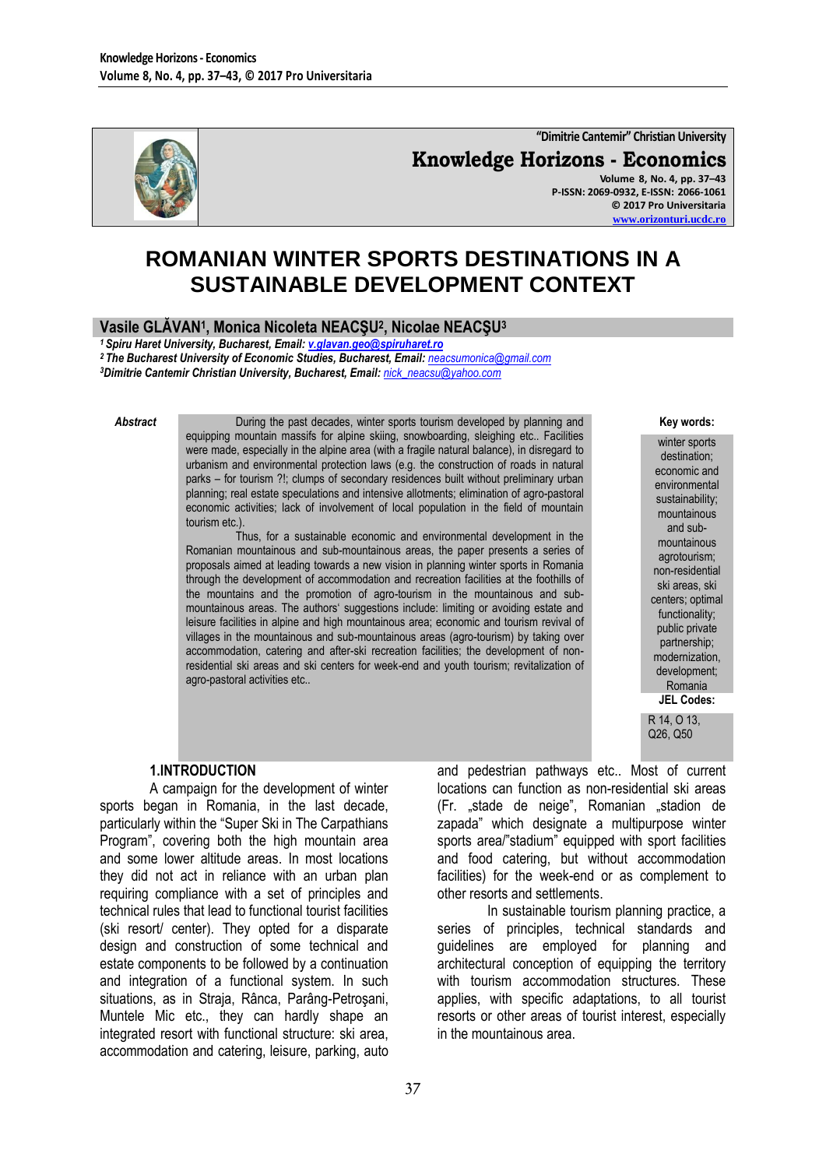

**"Dimitrie Cantemir" Christian University Knowledge Horizons - Economics Volume 8, No. 4, pp. 37–43 P-ISSN: 2069-0932, E-ISSN: 2066-1061 © 2017 Pro Universitaria [www.orizonturi.ucdc.ro](http://www.orizonturi.ucdc.ro/)**

# **ROMANIAN WINTER SPORTS DESTINATIONS IN A SUSTAINABLE DEVELOPMENT CONTEXT**

# **Vasile GLĂVAN<sup>1</sup> , Monica Nicoleta NEACŞU<sup>2</sup> , Nicolae NEACŞU<sup>3</sup>**

*<sup>1</sup>Spiru Haret University, Bucharest, Email: [v.glavan.geo@spiruharet.ro](mailto:v.glavan.geo@spiruharet.ro)*

*<sup>2</sup>The Bucharest University of Economic Studies, Bucharest, Email: [neacsumonica@gmail.com](mailto:neacsumonica@gmail.com) <sup>3</sup>Dimitrie Cantemir Christian University, Bucharest, Email: [nick\\_neacsu@yahoo.com](mailto:nick_neacsu@yahoo.com)*

**Abstract During the past decades, winter sports tourism developed by planning and** equipping mountain massifs for alpine skiing, snowboarding, sleighing etc.. Facilities were made, especially in the alpine area (with a fragile natural balance), in disregard to urbanism and environmental protection laws (e.g. the construction of roads in natural parks – for tourism ?!; clumps of secondary residences built without preliminary urban planning; real estate speculations and intensive allotments; elimination of agro-pastoral economic activities; lack of involvement of local population in the field of mountain tourism etc.).

Thus, for a sustainable economic and environmental development in the Romanian mountainous and sub-mountainous areas, the paper presents a series of proposals aimed at leading towards a new vision in planning winter sports in Romania through the development of accommodation and recreation facilities at the foothills of the mountains and the promotion of agro-tourism in the mountainous and submountainous areas. The authors" suggestions include: limiting or avoiding estate and leisure facilities in alpine and high mountainous area; economic and tourism revival of villages in the mountainous and sub-mountainous areas (agro-tourism) by taking over accommodation, catering and after-ski recreation facilities; the development of nonresidential ski areas and ski centers for week-end and youth tourism; revitalization of agro-pastoral activities etc..

**Key words:**

winter sports destination; economic and environmental sustainability; mountainous and submountainous agrotourism; non-residential ski areas, ski centers; optimal functionality; public private partnership; modernization, development; Romania **JEL Codes:**

R 14, O 13, Q26, Q50

### **1.INTRODUCTION**

A campaign for the development of winter sports began in Romania, in the last decade, particularly within the "Super Ski in The Carpathians Program", covering both the high mountain area and some lower altitude areas. In most locations they did not act in reliance with an urban plan requiring compliance with a set of principles and technical rules that lead to functional tourist facilities (ski resort/ center). They opted for a disparate design and construction of some technical and estate components to be followed by a continuation and integration of a functional system. In such situations, as in Straja, Rânca, Parâng-Petroşani, Muntele Mic etc., they can hardly shape an integrated resort with functional structure: ski area, accommodation and catering, leisure, parking, auto

and pedestrian pathways etc.. Most of current locations can function as non-residential ski areas (Fr. "stade de neige", Romanian "stadion de zapada" which designate a multipurpose winter sports area/"stadium" equipped with sport facilities and food catering, but without accommodation facilities) for the week-end or as complement to other resorts and settlements.

In sustainable tourism planning practice, a series of principles, technical standards and guidelines are employed for planning and architectural conception of equipping the territory with tourism accommodation structures. These applies, with specific adaptations, to all tourist resorts or other areas of tourist interest, especially in the mountainous area.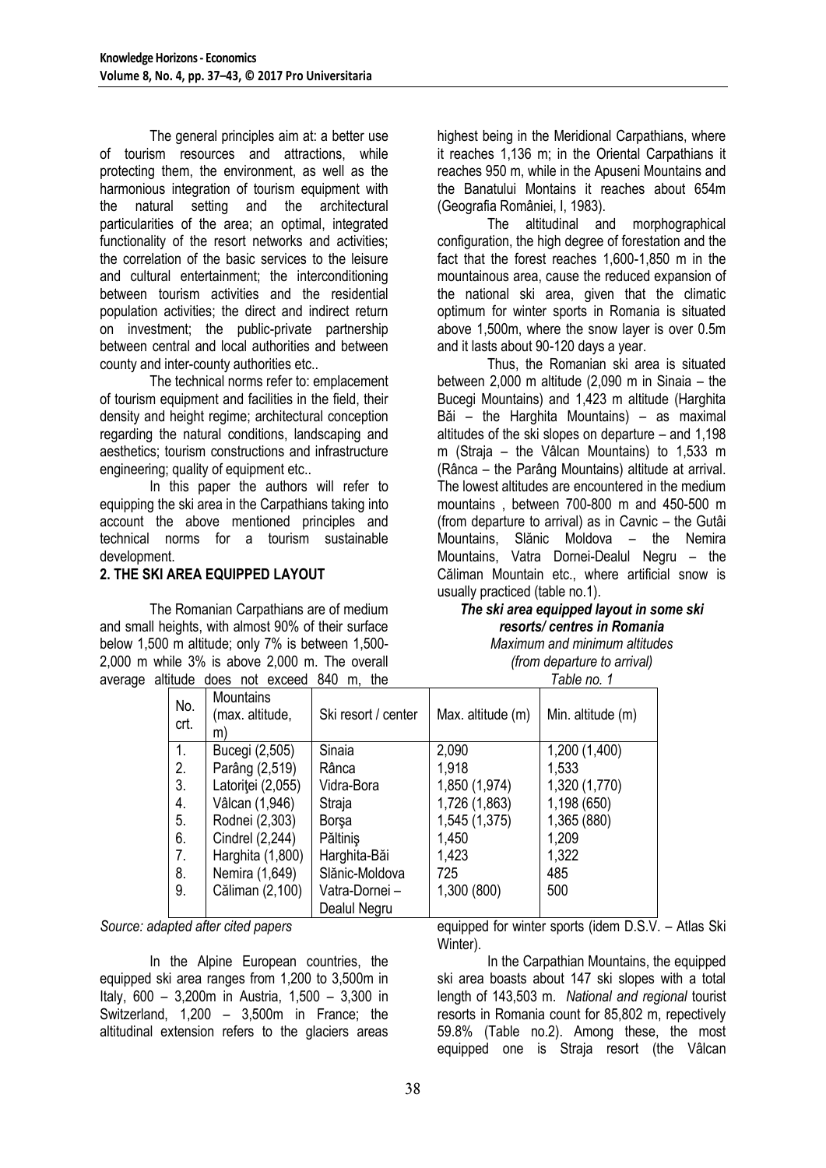The general principles aim at: a better use of tourism resources and attractions, while protecting them, the environment, as well as the harmonious integration of tourism equipment with the natural setting and the architectural particularities of the area; an optimal, integrated functionality of the resort networks and activities: the correlation of the basic services to the leisure and cultural entertainment; the interconditioning between tourism activities and the residential population activities; the direct and indirect return on investment; the public-private partnership between central and local authorities and between county and inter-county authorities etc..

The technical norms refer to: emplacement of tourism equipment and facilities in the field, their density and height regime; architectural conception regarding the natural conditions, landscaping and aesthetics; tourism constructions and infrastructure engineering; quality of equipment etc..

In this paper the authors will refer to equipping the ski area in the Carpathians taking into account the above mentioned principles and technical norms for a tourism sustainable development.

# **2. THE SKI AREA EQUIPPED LAYOUT**

The Romanian Carpathians are of medium and small heights, with almost 90% of their surface below 1,500 m altitude; only 7% is between 1,500- 2,000 m while 3% is above 2,000 m. The overall average altitude does not exceed 840 m, the highest being in the Meridional Carpathians, where it reaches 1,136 m; in the Oriental Carpathians it reaches 950 m, while in the Apuseni Mountains and the Banatului Montains it reaches about 654m (Geografia României, I, 1983).

The altitudinal and morphographical configuration, the high degree of forestation and the fact that the forest reaches 1,600-1,850 m in the mountainous area, cause the reduced expansion of the national ski area, given that the climatic optimum for winter sports in Romania is situated above 1,500m, where the snow layer is over 0.5m and it lasts about 90-120 days a year.

Thus, the Romanian ski area is situated between 2,000 m altitude (2,090 m in Sinaia – the Bucegi Mountains) and 1,423 m altitude (Harghita Băi – the Harghita Mountains) – as maximal altitudes of the ski slopes on departure – and 1,198 m (Straja – the Vâlcan Mountains) to 1,533 m (Rânca – the Parâng Mountains) altitude at arrival. The lowest altitudes are encountered in the medium mountains , between 700-800 m and 450-500 m (from departure to arrival) as in Cavnic – the Gutâi Mountains, Slănic Moldova – the Nemira Mountains, Vatra Dornei-Dealul Negru – the Căliman Mountain etc., where artificial snow is usually practiced (table no.1).

# *The ski area equipped layout in some ski resorts/ centres in Romania*

*Maximum and minimum altitudes (from departure to arrival)*

*Table no. 1*

| No.<br>crt. | Mountains<br>(max. altitude,<br>m) | Ski resort / center | Max. altitude (m) | Min. altitude (m) |
|-------------|------------------------------------|---------------------|-------------------|-------------------|
| 1.          | Bucegi (2,505)                     | Sinaia              | 2,090             | 1,200 (1,400)     |
| 2.          | Parâng (2,519)                     | Rânca               | 1,918             | 1,533             |
| 3.          | Latoriței (2,055)                  | Vidra-Bora          | 1,850 (1,974)     | 1,320 (1,770)     |
| 4.          | Vâlcan (1,946)                     | Straja              | 1,726 (1,863)     | 1,198 (650)       |
| 5.          | Rodnei (2,303)                     | <b>Borsa</b>        | 1,545 (1,375)     | 1,365 (880)       |
| 6.          | Cindrel (2,244)                    | Păltinis            | 1,450             | 1,209             |
| 7.          | Harghita (1,800)                   | Harghita-Băi        | 1,423             | 1,322             |
| 8.          | Nemira (1,649)                     | Slănic-Moldova      | 725               | 485               |
| 9.          | Căliman (2,100)                    | Vatra-Dornei -      | 1,300 (800)       | 500               |
|             |                                    | Dealul Negru        |                   |                   |

*Source: adapted after cited papers*

In the Alpine European countries, the equipped ski area ranges from 1,200 to 3,500m in Italy, 600 – 3,200m in Austria, 1,500 – 3,300 in Switzerland, 1,200 – 3,500m in France; the altitudinal extension refers to the glaciers areas

equipped for winter sports (idem D.S.V. – Atlas Ski Winter).

In the Carpathian Mountains, the equipped ski area boasts about 147 ski slopes with a total length of 143,503 m. *National and regional* tourist resorts in Romania count for 85,802 m, repectively 59.8% (Table no.2). Among these, the most equipped one is Straja resort (the Vâlcan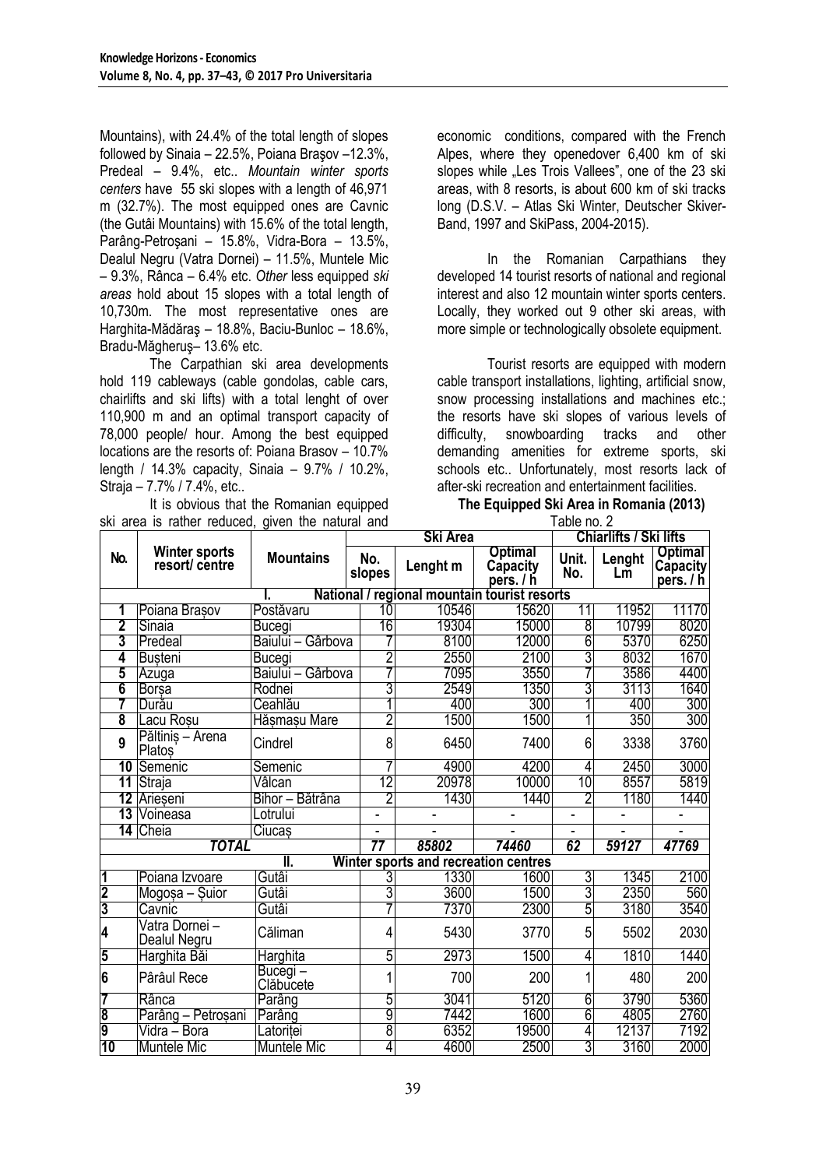Mountains), with 24.4% of the total length of slopes followed by Sinaia – 22.5%, Poiana Braşov –12.3%, Predeal – 9.4%, etc.. *Mountain winter sports centers* have 55 ski slopes with a length of 46,971 m (32.7%). The most equipped ones are Cavnic (the Gutâi Mountains) with 15.6% of the total length, Parâng-Petroşani – 15.8%, Vidra-Bora – 13.5%, Dealul Negru (Vatra Dornei) – 11.5%, Muntele Mic – 9.3%, Rânca – 6.4% etc. *Other* less equipped *ski areas* hold about 15 slopes with a total length of 10,730m. The most representative ones are Harghita-Mădăraş – 18.8%, Baciu-Bunloc – 18.6%, Bradu-Măgheruş– 13.6% etc.

The Carpathian ski area developments hold 119 cableways (cable gondolas, cable cars, chairlifts and ski lifts) with a total lenght of over 110,900 m and an optimal transport capacity of 78,000 people/ hour. Among the best equipped locations are the resorts of: Poiana Brasov – 10.7% length / 14.3% capacity, Sinaia – 9.7% / 10.2%, Straja – 7.7% / 7.4%, etc..

It is obvious that the Romanian equipped ski area is rather reduced, given the natural and

economic conditions, compared with the French Alpes, where they openedover 6,400 km of ski slopes while "Les Trois Vallees", one of the 23 ski areas, with 8 resorts, is about 600 km of ski tracks long (D.S.V. – Atlas Ski Winter, Deutscher Skiver-Band, 1997 and SkiPass, 2004-2015).

In the Romanian Carpathians they developed 14 tourist resorts of national and regional interest and also 12 mountain winter sports centers. Locally, they worked out 9 other ski areas, with more simple or technologically obsolete equipment.

Tourist resorts are equipped with modern cable transport installations, lighting, artificial snow, snow processing installations and machines etc.; the resorts have ski slopes of various levels of difficulty, snowboarding tracks and other demanding amenities for extreme sports, ski schools etc.. Unfortunately, most resorts lack of after-ski recreation and entertainment facilities.

### **The Equipped Ski Area in Romania (2013)**

| ski area is rather reduced, given the natural and |                                              |                      |                | Table no. 2                          |                                         |                        |              |                                                |  |  |
|---------------------------------------------------|----------------------------------------------|----------------------|----------------|--------------------------------------|-----------------------------------------|------------------------|--------------|------------------------------------------------|--|--|
|                                                   |                                              |                      | Ski Area       |                                      |                                         | Chiarlifts / Ski lifts |              |                                                |  |  |
| No.                                               | Winter sports<br>resort/ centre              | <b>Mountains</b>     | No.<br>slopes  | Lenght m                             | <b>Optimal</b><br>Capacity<br>pers. / h | Unit.<br>No.           | Lenght<br>Lm | <b>Optimal</b><br><b>Capacity</b><br>pers. / h |  |  |
|                                                   | National / regional mountain tourist resorts |                      |                |                                      |                                         |                        |              |                                                |  |  |
| 1                                                 | Poiana Brasov                                | Postăvaru            | 10             | 10546                                | 15620                                   | 11                     | 11952        | 11170                                          |  |  |
| $\overline{\mathbf{2}}$                           | Sinaia                                       | <b>Bucegi</b>        | 16             | 19304                                | 15000                                   | 8                      | 10799        | 8020                                           |  |  |
| 3                                                 | Predeal                                      | Baiului - Gârbova    |                | 8100                                 | 12000                                   | 6                      | 5370         | 6250                                           |  |  |
| 4                                                 | <b>Busteni</b>                               | Bucegi               | $\overline{2}$ | 2550                                 | 2100                                    | 3                      | 8032         | 1670                                           |  |  |
| 5                                                 | Azuga                                        | Baiului - Gârbova    |                | 7095                                 | 3550                                    |                        | 3586         | 4400                                           |  |  |
| 6                                                 | <b>Borsa</b>                                 | Rodnei               | 3              | 2549                                 | 1350                                    | 3                      | 3113         | 1640                                           |  |  |
|                                                   | Durău                                        | Ceahlău              |                | 400                                  | 300                                     |                        | 400          | 300                                            |  |  |
| $\overline{\mathbf{8}}$                           | Lacu Rosu                                    | Hăşmaşu Mare         | $\overline{2}$ | 1500                                 | 1500                                    |                        | 350          | 300                                            |  |  |
| 9                                                 | Păltinis - Arena<br>Platos                   | Cindrel              | 8              | 6450                                 | 7400                                    | 6                      | 3338         | 3760                                           |  |  |
| 10                                                | Semenic                                      | Semenic              |                | 4900                                 | 4200                                    | 4                      | 2450         | 3000                                           |  |  |
| $\overline{11}$                                   | Straja                                       | Vâlcan               | 12             | 20978                                | 10000                                   | 10                     | 8557         | 5819                                           |  |  |
| 12                                                | Arieseni                                     | Bihor - Bătrâna      | $\overline{2}$ | 1430                                 | 1440                                    | 2                      | 1180         | 1440                                           |  |  |
| 13                                                | Voineasa                                     | Lotrului             |                |                                      | ٠                                       |                        |              |                                                |  |  |
| 14                                                | Cheia                                        | Ciucas               |                |                                      |                                         |                        |              |                                                |  |  |
| <b>TOTAL</b>                                      |                                              | 77                   | 85802          | 74460                                | 62                                      | 59127                  | 47769        |                                                |  |  |
|                                                   |                                              | II.                  |                | Winter sports and recreation centres |                                         |                        |              |                                                |  |  |
| 1                                                 | Poiana Izvoare                               | Gutâi                | 3              | 1330                                 | 1600                                    | 3                      | 1345         | 2100                                           |  |  |
| $\frac{1}{3}$                                     | Mogosa - Suior                               | Gutâi                | 3              | 3600                                 | 1500                                    | 3                      | 2350         | 560                                            |  |  |
|                                                   | Cavnic                                       | Gutâi                |                | 7370                                 | 2300                                    | 5                      | 3180         | 3540                                           |  |  |
| 4                                                 | Vatra Dornei -<br>Dealul Negru               | Căliman              | 4              | 5430                                 | 3770                                    | 5                      | 5502         | 2030                                           |  |  |
| 5                                                 | Harghita Băi                                 | Harghita             | 5              | 2973                                 | 1500                                    | 4                      | 1810         | 1440                                           |  |  |
| 6                                                 | Pârâul Rece                                  | Bucegi-<br>Clăbucete |                | 700                                  | 200                                     | 1                      | 480          | 200                                            |  |  |
| 7                                                 | Rânca                                        | Parâng               | 5              | 3041                                 | 5120                                    | 6                      | 3790         | 5360                                           |  |  |
| $\frac{8}{9}$                                     | Parâng - Petroșani                           | Parâng               | 9              | 7442                                 | 1600                                    | 6                      | 4805         | 2760                                           |  |  |
|                                                   | Vidra – Bora                                 | Latoritei            | $\overline{8}$ | 6352                                 | 19500                                   | 4                      | 12137        | 7192                                           |  |  |
| 10                                                | <b>Muntele Mic</b>                           | <b>Muntele Mic</b>   | 4              | 4600                                 | 2500                                    | 3                      | 3160         | 2000                                           |  |  |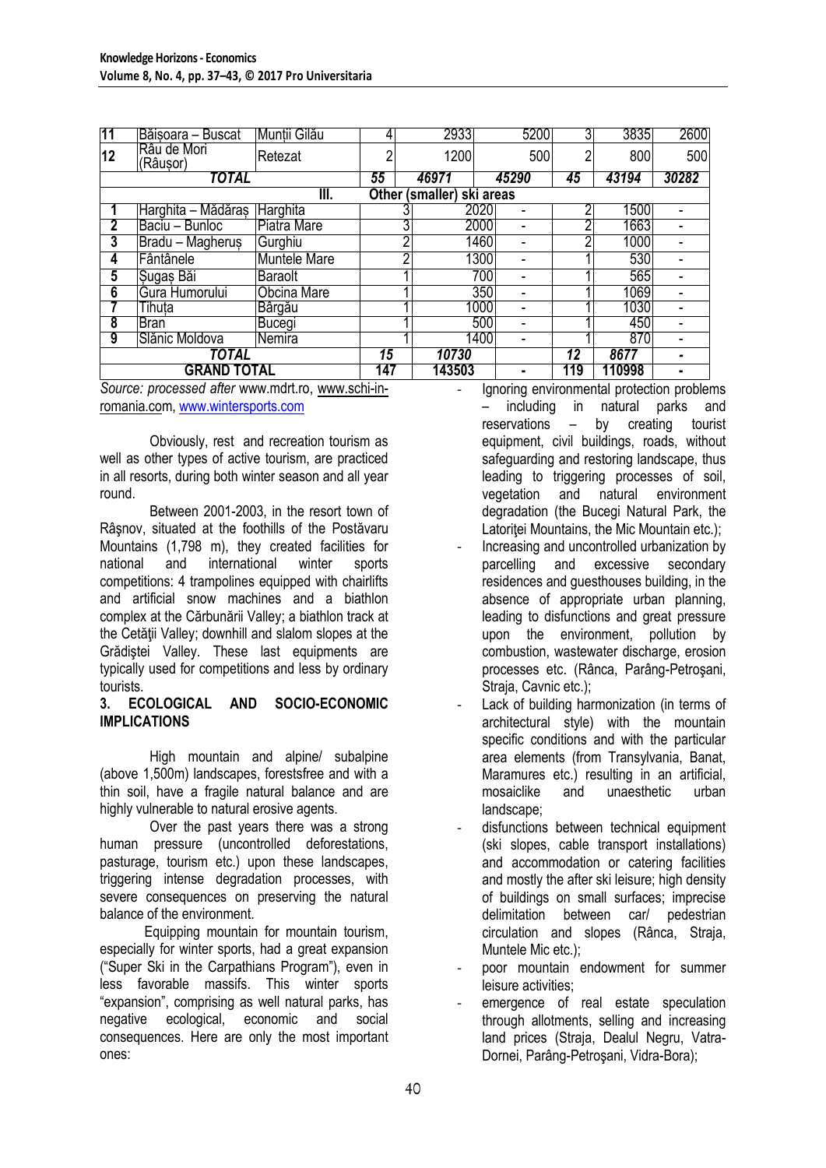| 11                 | Băisoara - Buscat           | Muntii Gilău    |        | 2933                      | 5200                             | 3              | 3835  | 2600 |
|--------------------|-----------------------------|-----------------|--------|---------------------------|----------------------------------|----------------|-------|------|
| 12                 | Râu de Mori<br>(Râusor)     | Retezat         | ∩      | 1200                      | 500                              | $\overline{2}$ | 800   | 500  |
| <b>TOTAL</b>       |                             | 55              | 46971  | 45290                     | 45                               | 43194          | 30282 |      |
|                    |                             | III.            |        | Other (smaller) ski areas |                                  |                |       |      |
|                    | Harghita – Mădăraș Harghita |                 |        |                           | 2020                             | n              | 1500  |      |
| 2                  | Baciu - Bunloc              | Piatra Mare     |        | 3                         | 2000<br>$\overline{\phantom{0}}$ | ∩              | 1663  |      |
| 3                  | Bradu - Magherus            | Gurghiu         |        |                           | 1460                             | ∩              | 1000  |      |
| 4                  | Fântânele                   | Muntele Mare    |        |                           | 1300                             |                | 530   |      |
| 5                  | Sugas Bai                   | <b>Baraolt</b>  |        |                           | 700                              |                | 565   |      |
| $6\overline{6}$    | Gura Humorului              | Obcina Mare     |        |                           | 350                              |                | 1069  |      |
|                    | Tihuta                      | Bârgău          |        |                           | 1000                             |                | 1030  |      |
| 8                  | <b>Bran</b>                 | Bucegi          |        |                           | 500                              |                | 450   |      |
| 9                  | Slănic Moldova              | INemira         |        |                           | 1400                             |                | 870   |      |
| <b>TOTAL</b>       |                             | $1\overline{5}$ | 10730  |                           | $\overline{12}$                  | 8677           |       |      |
| <b>GRAND TOTAL</b> |                             | 147             | 143503 | ٠                         | 119                              | 110998         |       |      |

*Source: processed after* [www.mdrt.ro,](http://www.mdrt.ro/) [www.schi-in](http://www.schi-in-romania.co/)[romania.com](http://www.schi-in-romania.co/), [www.wintersports.com](http://www.wintersports.com/)

Obviously, rest and recreation tourism as well as other types of active tourism, are practiced in all resorts, during both winter season and all year round.

Between 2001-2003, in the resort town of Râşnov, situated at the foothills of the Postăvaru Mountains (1,798 m), they created facilities for national and international winter sports competitions: 4 trampolines equipped with chairlifts and artificial snow machines and a biathlon complex at the Cărbunării Valley; a biathlon track at the Cetății Valley; downhill and slalom slopes at the Grădistei Valley. These last equipments are typically used for competitions and less by ordinary tourists.

### **3. ECOLOGICAL AND SOCIO-ECONOMIC IMPLICATIONS**

High mountain and alpine/ subalpine (above 1,500m) landscapes, forestsfree and with a thin soil, have a fragile natural balance and are highly vulnerable to natural erosive agents.

Over the past years there was a strong human pressure (uncontrolled deforestations, pasturage, tourism etc.) upon these landscapes, triggering intense degradation processes, with severe consequences on preserving the natural balance of the environment.

Equipping mountain for mountain tourism, especially for winter sports, had a great expansion ("Super Ski in the Carpathians Program"), even in less favorable massifs. This winter sports "expansion", comprising as well natural parks, has negative ecological, economic and social consequences. Here are only the most important ones:

Ignoring environmental protection problems including in natural parks and reservations – by creating tourist equipment, civil buildings, roads, without safeguarding and restoring landscape, thus leading to triggering processes of soil, vegetation and natural environment degradation (the Bucegi Natural Park, the Latoritei Mountains, the Mic Mountain etc.);

- Increasing and uncontrolled urbanization by parcelling and excessive secondary residences and guesthouses building, in the absence of appropriate urban planning, leading to disfunctions and great pressure upon the environment, pollution by combustion, wastewater discharge, erosion processes etc. (Rânca, Parâng-Petroşani, Straja, Cavnic etc.);
- Lack of building harmonization (in terms of architectural style) with the mountain specific conditions and with the particular area elements (from Transylvania, Banat, Maramures etc.) resulting in an artificial. mosaiclike and unaesthetic urban landscape;
- disfunctions between technical equipment (ski slopes, cable transport installations) and accommodation or catering facilities and mostly the after ski leisure; high density of buildings on small surfaces; imprecise delimitation between car/ pedestrian circulation and slopes (Rânca, Straja, Muntele Mic etc.);
- poor mountain endowment for summer leisure activities;
- emergence of real estate speculation through allotments, selling and increasing land prices (Straja, Dealul Negru, Vatra-Dornei, Parâng-Petroşani, Vidra-Bora);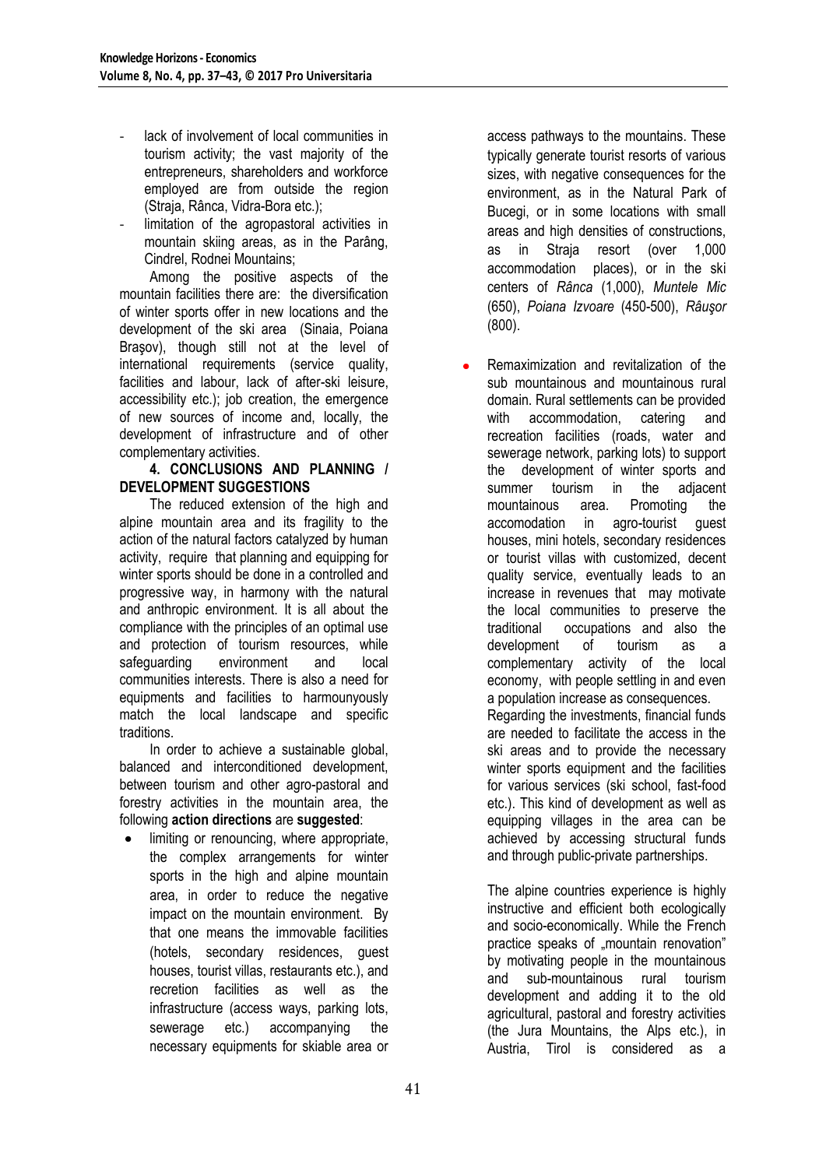- lack of involvement of local communities in tourism activity; the vast majority of the entrepreneurs, shareholders and workforce employed are from outside the region (Straja, Rânca, Vidra-Bora etc.);
- limitation of the agropastoral activities in mountain skiing areas, as in the Parâng, Cindrel, Rodnei Mountains;

Among the positive aspects of the mountain facilities there are: the diversification of winter sports offer in new locations and the development of the ski area (Sinaia, Poiana Brasov), though still not at the level of international requirements (service quality, facilities and labour, lack of after-ski leisure, accessibility etc.); job creation, the emergence of new sources of income and, locally, the development of infrastructure and of other complementary activities.

## **4. CONCLUSIONS AND PLANNING / DEVELOPMENT SUGGESTIONS**

The reduced extension of the high and alpine mountain area and its fragility to the action of the natural factors catalyzed by human activity, require that planning and equipping for winter sports should be done in a controlled and progressive way, in harmony with the natural and anthropic environment. It is all about the compliance with the principles of an optimal use and protection of tourism resources, while safeguarding environment and local communities interests. There is also a need for equipments and facilities to harmounyously match the local landscape and specific traditions.

In order to achieve a sustainable global, balanced and interconditioned development, between tourism and other agro-pastoral and forestry activities in the mountain area, the following **action directions** are **suggested**:

limiting or renouncing, where appropriate, the complex arrangements for winter sports in the high and alpine mountain area, in order to reduce the negative impact on the mountain environment. By that one means the immovable facilities (hotels, secondary residences, guest houses, tourist villas, restaurants etc.), and recretion facilities as well as the infrastructure (access ways, parking lots, sewerage etc.) accompanying the necessary equipments for skiable area or

access pathways to the mountains. These typically generate tourist resorts of various sizes, with negative consequences for the environment, as in the Natural Park of Bucegi, or in some locations with small areas and high densities of constructions, as in Straja resort (over 1,000 accommodation places), or in the ski centers of *Rânca* (1,000), *Muntele Mic*  (650), *Poiana Izvoare* (450-500), *Râuşor* (800).

Remaximization and revitalization of the sub mountainous and mountainous rural domain. Rural settlements can be provided with accommodation, catering and recreation facilities (roads, water and sewerage network, parking lots) to support the development of winter sports and summer tourism in the adjacent mountainous area. Promoting the accomodation in agro-tourist guest houses, mini hotels, secondary residences or tourist villas with customized, decent quality service, eventually leads to an increase in revenues that may motivate the local communities to preserve the traditional occupations and also the development of tourism as a complementary activity of the local economy, with people settling in and even a population increase as consequences. Regarding the investments, financial funds are needed to facilitate the access in the ski areas and to provide the necessary winter sports equipment and the facilities for various services (ski school, fast-food etc.). This kind of development as well as equipping villages in the area can be achieved by accessing structural funds

The alpine countries experience is highly instructive and efficient both ecologically and socio-economically. While the French practice speaks of "mountain renovation" by motivating people in the mountainous and sub-mountainous rural tourism development and adding it to the old agricultural, pastoral and forestry activities (the Jura Mountains, the Alps etc.), in Austria, Tirol is considered as a

and through public-private partnerships.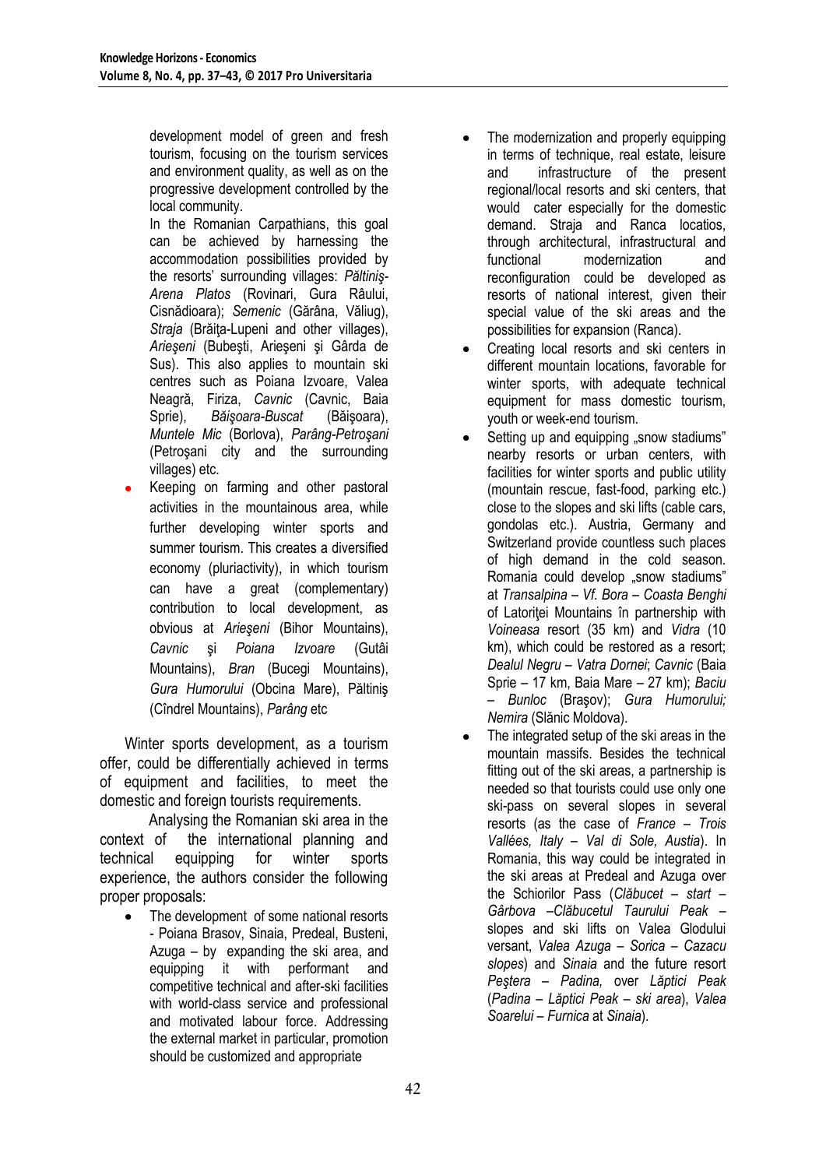development model of green and fresh tourism, focusing on the tourism services and environment quality, as well as on the progressive development controlled by the local community.

In the Romanian Carpathians, this goal can be achieved by harnessing the accommodation possibilities provided by the resorts" surrounding villages: *Păltiniş-Arena Platos* (Rovinari, Gura Râului, Cisnădioara); *Semenic* (Gărâna, Văliug), *Straja* (Brăița-Lupeni and other villages), *Arieşeni* (Bubeşti, Arieşeni şi Gârda de Sus). This also applies to mountain ski centres such as Poiana Izvoare, Valea Neagră, Firiza, *Cavnic* (Cavnic, Baia Sprie), *Băişoara-Buscat* (Băişoara), *Muntele Mic* (Borlova), *Parâng-Petroşani*  (Petroşani city and the surrounding villages) etc.

Keeping on farming and other pastoral activities in the mountainous area, while further developing winter sports and summer tourism. This creates a diversified economy (pluriactivity), in which tourism can have a great (complementary) contribution to local development, as obvious at *Arieşeni* (Bihor Mountains), *Cavnic* şi *Poiana Izvoare* (Gutâi Mountains), *Bran* (Bucegi Mountains), *Gura Humorului* (Obcina Mare), Păltiniş (Cîndrel Mountains), *Parâng* etc

Winter sports development, as a tourism offer, could be differentially achieved in terms of equipment and facilities, to meet the domestic and foreign tourists requirements.

Analysing the Romanian ski area in the context of the international planning and technical equipping for winter sports experience, the authors consider the following proper proposals:

The development of some national resorts - Poiana Brasov, Sinaia, Predeal, Busteni, Azuga – by expanding the ski area, and equipping it with performant and competitive technical and after-ski facilities with world-class service and professional and motivated labour force. Addressing the external market in particular, promotion should be customized and appropriate

- The modernization and properly equipping  $\bullet$ in terms of technique, real estate, leisure and infrastructure of the present regional/local resorts and ski centers, that would cater especially for the domestic demand. Straja and Ranca locatios, through architectural, infrastructural and functional modernization and reconfiguration could be developed as resorts of national interest, given their special value of the ski areas and the possibilities for expansion (Ranca).
- Creating local resorts and ski centers in different mountain locations, favorable for winter sports, with adequate technical equipment for mass domestic tourism, youth or week-end tourism.
- Setting up and equipping "snow stadiums" nearby resorts or urban centers, with facilities for winter sports and public utility (mountain rescue, fast-food, parking etc.) close to the slopes and ski lifts (cable cars, gondolas etc.). Austria, Germany and Switzerland provide countless such places of high demand in the cold season. Romania could develop "snow stadiums" at *Transalpina – Vf. Bora – Coasta Benghi* of Latoritei Mountains în partnership with *Voineasa* resort (35 km) and *Vidra* (10 km), which could be restored as a resort; *Dealul Negru – Vatra Dornei*; *Cavnic* (Baia Sprie – 17 km, Baia Mare – 27 km); *Baciu – Bunloc* (Braşov); *Gura Humorului; Nemira* (Slănic Moldova).
- The integrated setup of the ski areas in the mountain massifs. Besides the technical fitting out of the ski areas, a partnership is needed so that tourists could use only one ski-pass on several slopes in several resorts (as the case of *France – Trois Vallées, Italy – Val di Sole, Austia*). In Romania, this way could be integrated in the ski areas at Predeal and Azuga over the Schiorilor Pass (*Clăbucet – start – Gârbova –Clăbucetul Taurului Peak –* slopes and ski lifts on Valea Glodului versant, *Valea Azuga* – *Sorica – Cazacu slopes*) and *Sinaia* and the future resort *Peştera – Padina,* over *Lăptici Peak*  (*Padina – Lăptici Peak – ski area*), *Valea Soarelui – Furnica* at *Sinaia*).